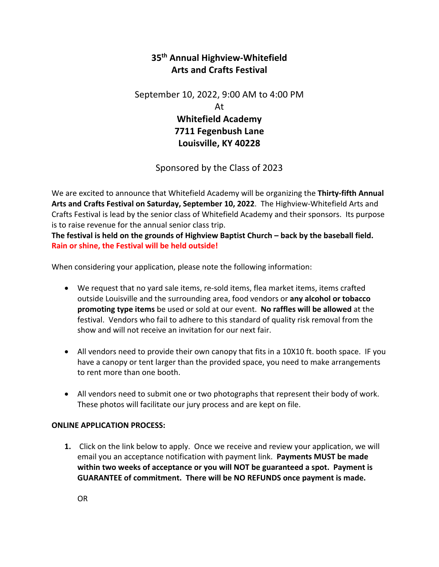## **35th Annual Highview-Whitefield Arts and Crafts Festival**

September 10, 2022, 9:00 AM to 4:00 PM At **Whitefield Academy** 

**7711 Fegenbush Lane Louisville, KY 40228**

Sponsored by the Class of 2023

We are excited to announce that Whitefield Academy will be organizing the **Thirty-fifth Annual Arts and Crafts Festival on Saturday, September 10, 2022**. The Highview-Whitefield Arts and Crafts Festival is lead by the senior class of Whitefield Academy and their sponsors. Its purpose is to raise revenue for the annual senior class trip.

**The festival is held on the grounds of Highview Baptist Church – back by the baseball field. Rain or shine, the Festival will be held outside!**

When considering your application, please note the following information:

- We request that no yard sale items, re-sold items, flea market items, items crafted outside Louisville and the surrounding area, food vendors or **any alcohol or tobacco promoting type items** be used or sold at our event. **No raffles will be allowed** at the festival. Vendors who fail to adhere to this standard of quality risk removal from the show and will not receive an invitation for our next fair.
- All vendors need to provide their own canopy that fits in a 10X10 ft. booth space. IF you have a canopy or tent larger than the provided space, you need to make arrangements to rent more than one booth.
- All vendors need to submit one or two photographs that represent their body of work. These photos will facilitate our jury process and are kept on file.

## **ONLINE APPLICATION PROCESS:**

**1.** Click on the link below to apply. Once we receive and review your application, we will email you an acceptance notification with payment link. **Payments MUST be made within two weeks of acceptance or you will NOT be guaranteed a spot. Payment is GUARANTEE of commitment. There will be NO REFUNDS once payment is made.**